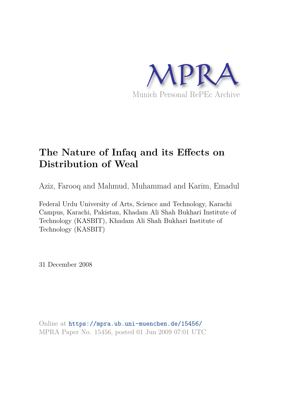

# **The Nature of Infaq and its Effects on Distribution of Weal**

Aziz, Farooq and Mahmud, Muhammad and Karim, Emadul

Federal Urdu University of Arts, Science and Technology, Karachi Campus, Karachi, Pakistan, Khadam Ali Shah Bukhari Institute of Technology (KASBIT), Khadam Ali Shah Bukhari Institute of Technology (KASBIT)

31 December 2008

Online at https://mpra.ub.uni-muenchen.de/15456/ MPRA Paper No. 15456, posted 01 Jun 2009 07:01 UTC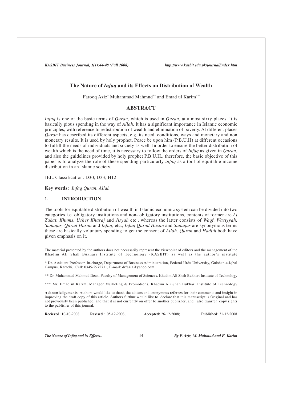# **The Nature of** *Infaq* **and its Effects on Distribution of Wealth**

Farooq Aziz<sup>\*</sup> Muhammad Mahmud<sup>\*\*</sup> and Emad ul Karim<sup>\*\*\*</sup>

# **ABSTRACT**

*Infaq* is one of the basic terms of *Quran*, which is used in *Quran*, at almost sixty places. It is basically pious spending in the way of *Allah.* It has a significant importance in Islamic economic principles, with reference to redistribution of wealth and elimination of poverty. At different places *Quran* has described its different aspects, e.g. its need, conditions, ways and monetary and non monetary results. It is used by holy prophet, Peace be upon him (P.B.U.H) at different occasions to fulfill the needs of individuals and society as well. In order to ensure the better distribution of wealth which is the need of time, it is necessary to follow the orders of *Infaq* as given in *Quran*, and also the guidelines provided by holy prophet P.B.U.H., therefore, the basic objective of this paper is to analyze the role of these spending particularly *infaq* as a tool of equitable income distribution in an Islamic society.

JEL. Classification: D30; D33; H12

**Key words:** *Infaq Quran*, *Allah*

### **1. INTRODUCTION**

The tools for equitable distribution of wealth in Islamic economic system can be divided into two categories i.e. obligatory institutions and non- obligatory institutions, contents of former are *Al Zakat, Khums, Usher Kharaj* and *Jizyah* etc., whereas the latter consists of *Waqf, Wasiyyah, Sadaqas, Qarad Hasan* and *Infaq*, etc., *Infaq Qarad Hasan* and *Sadaqas* are synonymous terms these are basically voluntary spending to get the consent of *Allah*. *Quran* and *Hadith* both have given emphasis on it.

\*\* Dr. Muhammad Mahmud Dean, Faculty of Management of Sciences, Khadim Ali Shah Bukhari Institute of Technology

\*\*\* Mr. Emad ul Karim, Manager Marketing & Promotions, Khadim Ali Shah Bukhari Institute of Technology

**Acknowledgements**: Authors would like to thank the editors and anonymous referees for their comments and insight in improving the draft copy of this article. Authors furthur would like to declare that this manuscript is Original and has not previously been published, and that it is not currently on offer to another publisher; and also transfer copy rights to the publisher of this journal.

**Recieved: 1**0-10-2008; **Revised** : 05-12-2008; **Accepted:** 26-12-2008; **Published**: 31-12-2008

*The Nature of Infaq and its Effects..* 44 *By F. Aziz, M. Mahmud and E. Karim*

The material presented by the authors does not necessarily represent the viewpoint of editors and the management of the Khadim Ali Shah Bukhari Institute of Technology (KASBIT) as well as the author's institute

<sup>\*</sup> Dr. Assistant Professor, In-charge, Department of Business Administration, Federal Urdu University, Gulshan-e-Iqbal Campus, Karachi, Cell: 0345-2972711, E-mail: drfaziz@yahoo.com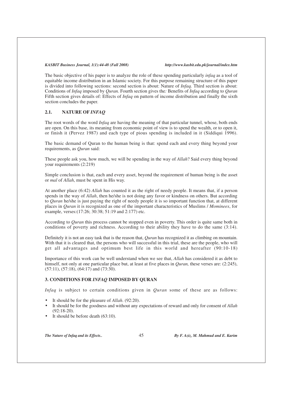The basic objective of his paper is to analyze the role of these spending particularly *infaq* as a tool of equitable income distribution in an Islamic society. For this purpose remaining structure of this paper is divided into following sections: second section is about: Nature of *Infaq.* Third section is about: Conditions of *Infaq* imposed by *Quran.* Fourth section gives the*:* Benefits of *Infaq* according to *Quran* Fifth section gives details of: Effects of *Infaq* on pattern of income distribution and finally the sixth section concludes the paper.

# **2.1. NATURE OF** *INFAQ*

The root words of the word *Infaq* are having the meaning of that particular tunnel, whose, both ends are open. On this base, its meaning from economic point of view is to spend the wealth, or to open it, or finish it (Pervez 1987) and each type of pious spending is included in it (Siddiqui 1996).

The basic demand of Quran to the human being is that: spend each and every thing beyond your requirements, as *Quran* said:

These people ask you, how much, we will be spending in the way of *Allah*? Said every thing beyond your requirements (2:219)

Simple conclusion is that, each and every asset, beyond the requirement of human being is the asset or *mal* of *Allah*, must be spent in His way.

At another place (6:42) *Allah* has counted it as the right of needy people. It means that, if a person spends in the way of *Allah*, then he/she is not doing any favor or kindness on others. But according to *Quran* he/she is just paying the right of needy people it is so important function that, at different places in *Quran* it is recognized as one of the important characteristics of Muslims / *Mominees*, for example, verses:(17:26; 30:38; 51:19 and 2:177) etc.

According to *Quran* this process cannot be stopped even in poverty. This order is quite same both in conditions of poverty and richness. According to their ability they have to do the same (3:14).

Definitely it is not an easy task that is the reason that, *Quran* has recognized it as climbing on mountain. With that it is cleared that, the persons who will successful in this trial, these are the people, who will get all advantages and optimum best life in this world and hereafter (90:10-18)

Importance of this work can be well understand when we see that, *Allah* has considered it as debt to himself, not only at one particular place but, at least at five places in *Quran,* these verses are: (2:245), (57:11), (57:18), (64:17) and (73:30).

# **3. CONDITIONS FOR** *INFAQ* **IMPOSED BY QURAN**

*Infaq* is subject to certain conditions given in *Quran* some of these are as follows:

- It should be for the pleasure of *Allah*. (92:20).
- It should be for the goodness and without any expectations of reward and only for consent of *Allah* (92:18-20).
- It should be before death  $(63:10)$ .

*The Nature of Infaq and its Effects..* 45 *By F. Aziz, M. Mahmud and E. Karim*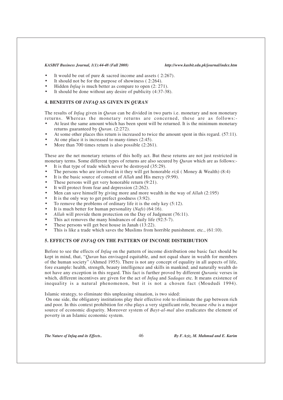- It would be out of pure  $\&$  sacred income and assets (2:267).
- It should not be for the purpose of showiness (2:264).
- Hidden *Infaq* is much better as compare to open (2: 271).
- It should be done without any desire of publicity (4:37-38).

# **4. BENEFITS OF** *INFAQ* **AS GIVEN IN** *QURAN*

The results of *Infaq* given in *Quran* can be divided in two parts i.e. monetary and non monetary returns. Whereas the monetary returns are concerned, these are as follows:-

- At least the same amount which has been spent will be returned. It is the minimum monetary returns guaranteed by *Quran*. (2:272).
- At some other places this return is increased to twice the amount spent in this regard. (57:11).
- At one place it is increased to many-times  $(2:45)$ .
- More than 700 times return is also possible  $(2:261)$ .

These are the net monetary returns of this holly act. But these returns are not just restricted in monetary terms. Some different types of returns are also secured by *Quran* which are as follows:-

- It is that type of trade which never be destroyed (35:29).
- The persons who are involved in it they will get honorable *rizk* ( Money & Wealth) (8:4)
- It is the basic source of consent of *Allah* and His mercy (9:99).
- These persons will get very honorable return  $(9:21)$ .
- It will protect from fear and depression  $(2:262)$ .
- Men can save himself by giving more and more wealth in the way of *Allah* (2:195)
- It is the only way to get prefect goodness (3:92).
- To remove the problems of ordinary life it is the only key (5:12).
- It is much better for human personality (*Nafs*) (64:16).
- *Allah* will provide them protection on the Day of Judgment (76:11).
- This act removes the many hindrances of daily life (92:5-7).
- These persons will get best house in Janah (13:22).
- This is like a trade which saves the Muslims from horrible punishment. etc.,  $(61:10)$ .

### **5. EFFECTS OF** *INFAQ* **ON THE PATTERN OF INCOME DISTRIBUTION**

Before to see the effects of *Infaq* on the pattern of income distribution one basic fact should be kept in mind, that, "*Quran* has envisaged equitable, and not equal share in wealth for members of the human society" (Ahmed 1955). There is not any concept of equality in all aspects of life, fore example: health, strength, beauty intelligence and skills in mankind; and naturally wealth do not have any exception in this regard. This fact is further proved by different *Quran*ic verses in which, different incentives are given for the act of *Infaq* and *Sadaqas* etc. It means existence of inequality is a natural phenomenon, but it is not a chosen fact (Moududi 1994).

Islamic strategy, to eliminate this unpleasing situation, is two sided:

 On one side, the obligatory institutions play their effective role to eliminate the gap between rich and poor. In this context prohibition for *riba* plays a very significant role, because *riba* is a major source of economic disparity. Moreover system of *Bayt-al-mal* also eradicates the element of poverty in an Islamic economic system.

*The Nature of Infaq and its Effects..* 46 *By F. Aziz, M. Mahmud and E. Karim*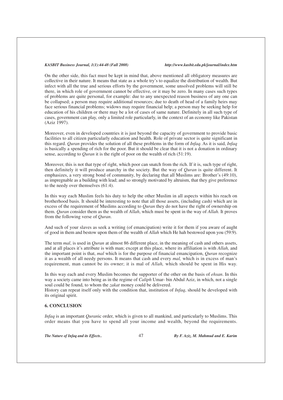On the other side, this fact must be kept in mind that, above mentioned all obligatory measures are collective in their nature. It means that state as a whole try's to equalize the distribution of wealth. But infect with all the true and serious efforts by the government, some unsolved problems will still be there, in which role of government cannot be effective, or it may be zero. In many cases such types of problems are quite personal, for example: due to any unexpected reason business of any one can be collapsed; a person may require additional resources; due to death of head of a family heirs may face serious financial problems; widows may require financial help; a person may be seeking help for education of his children or there may be a lot of cases of same nature. Definitely in all such type of cases, government can play, only a limited role particularly, in the context of an economy like Pakistan (Aziz 1997).

Moreover, even in developed countries it is just beyond the capacity of government to provide basic facilities to all citizen particularly education and health. Role of private sector is quite significant in this regard. *Quran* provides the solution of all these problems in the form of *Infaq*. As it is said, *Infaq* is basically a spending of rich for the poor. But it should be clear that it is not a donation in ordinary sense, according to *Quran* it is the right of poor on the wealth of rich (51:19).

Moreover, this is not that type of right, which poor can snatch from the rich. If it is, such type of right, then definitely it will produce anarchy in the society. But the way of *Quran* is quite different. It emphasizes, a very strong bond of community, by declaring that all Muslims are: Brother's (49:10), as impregnable as a building with lead; and so strongly motivated by altruism, that they give preference to the needy over themselves (61:4).

In this way each Muslim feels his duty to help the other Muslim in all aspects within his reach on brotherhood basis. It should be interesting to note that all those assets, (including cash) which are in excess of the requirement of Muslims according to *Quran* they do not have the right of ownership on them. *Quran* consider them as the wealth of *Allah*, which must be spent in the way of *Allah*. It proves from the following verse of *Quran*.

And such of your slaves as seek a writing (of emancipation) write it for them if you aware of aught of good in them and bestow upon them of the wealth of *Allah* which He hah bestowed upon you (59:9).

The term *mal*, is used in *Quran* at almost 86 different place, in the meaning of cash and others assets, and at all places it's attribute is with man; except at this place, where its affiliation is with *Allah,* and the important point is that, *mal* which is for the purpose of financial emancipation, *Quran* recognize it as a wealth of all needy persons. It means that cash and every *mal,* which is in excess of man's requirement, man cannot be its owner; it is mal of *Allah,* which should be spent in His way.

In this way each and every Muslim becomes the supporter of the other on the basis of *ehsan*. In this way a society came into being as in the regime of *Caliph* Umar- bin Abdul Aziz, in which, not a single soul could be found, to whom the *zakat* money could be delivered.

History can repeat itself only with the condition that, institution of *Infaq*, should be developed with its original spirit.

# **6. CONCLUSION**

*Infaq* is an important *Quran*ic order, which is given to all mankind, and particularly to Muslims. This order means that you have to spend all your income and wealth, beyond the requirements.

*The Nature of Infaq and its Effects..* 47 *By F. Aziz, M. Mahmud and E. Karim*